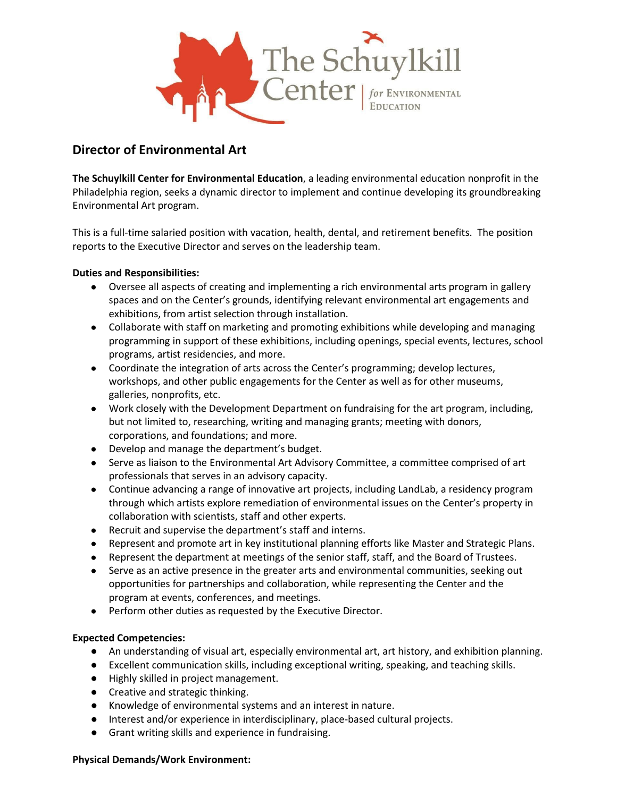

# **Director of Environmental Art**

**The Schuylkill Center for Environmental Education**, a leading environmental education nonprofit in the Philadelphia region, seeks a dynamic director to implement and continue developing its groundbreaking Environmental Art program.

This is a full-time salaried position with vacation, health, dental, and retirement benefits. The position reports to the Executive Director and serves on the leadership team.

## **Duties and Responsibilities:**

- Oversee all aspects of creating and implementing a rich environmental arts program in gallery spaces and on the Center's grounds, identifying relevant environmental art engagements and exhibitions, from artist selection through installation.
- Collaborate with staff on marketing and promoting exhibitions while developing and managing programming in support of these exhibitions, including openings, special events, lectures, school programs, artist residencies, and more.
- Coordinate the integration of arts across the Center's programming; develop lectures, workshops, and other public engagements for the Center as well as for other museums, galleries, nonprofits, etc.
- Work closely with the Development Department on fundraising for the art program, including, but not limited to, researching, writing and managing grants; meeting with donors, corporations, and foundations; and more.
- Develop and manage the department's budget.
- Serve as liaison to the Environmental Art Advisory Committee, a committee comprised of art professionals that serves in an advisory capacity.
- Continue advancing a range of innovative art projects, including LandLab, a residency program through which artists explore remediation of environmental issues on the Center's property in collaboration with scientists, staff and other experts.
- Recruit and supervise the department's staff and interns.
- Represent and promote art in key institutional planning efforts like Master and Strategic Plans.
- Represent the department at meetings of the senior staff, staff, and the Board of Trustees.
- Serve as an active presence in the greater arts and environmental communities, seeking out opportunities for partnerships and collaboration, while representing the Center and the program at events, conferences, and meetings.
- Perform other duties as requested by the Executive Director.

# **Expected Competencies:**

- An understanding of visual art, especially environmental art, art history, and exhibition planning.
- Excellent communication skills, including exceptional writing, speaking, and teaching skills.
- Highly skilled in project management.
- Creative and strategic thinking.
- Knowledge of environmental systems and an interest in nature.
- Interest and/or experience in interdisciplinary, place-based cultural projects.
- Grant writing skills and experience in fundraising.

#### **Physical Demands/Work Environment:**